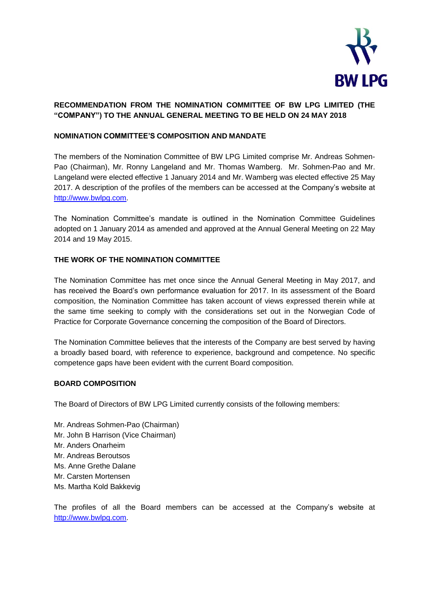

# **RECOMMENDATION FROM THE NOMINATION COMMITTEE OF BW LPG LIMITED (THE "COMPANY") TO THE ANNUAL GENERAL MEETING TO BE HELD ON 24 MAY 2018**

### **NOMINATION COMMITTEE'S COMPOSITION AND MANDATE**

The members of the Nomination Committee of BW LPG Limited comprise Mr. Andreas Sohmen-Pao (Chairman), Mr. Ronny Langeland and Mr. Thomas Wamberg. Mr. Sohmen-Pao and Mr. Langeland were elected effective 1 January 2014 and Mr. Wamberg was elected effective 25 May 2017. A description of the profiles of the members can be accessed at the Company's website at [http://www.bwlpg.com.](http://www.bwlpg.com/)

The Nomination Committee's mandate is outlined in the Nomination Committee Guidelines adopted on 1 January 2014 as amended and approved at the Annual General Meeting on 22 May 2014 and 19 May 2015.

### **THE WORK OF THE NOMINATION COMMITTEE**

The Nomination Committee has met once since the Annual General Meeting in May 2017, and has received the Board's own performance evaluation for 2017. In its assessment of the Board composition, the Nomination Committee has taken account of views expressed therein while at the same time seeking to comply with the considerations set out in the Norwegian Code of Practice for Corporate Governance concerning the composition of the Board of Directors.

The Nomination Committee believes that the interests of the Company are best served by having a broadly based board, with reference to experience, background and competence. No specific competence gaps have been evident with the current Board composition.

### **BOARD COMPOSITION**

The Board of Directors of BW LPG Limited currently consists of the following members:

Mr. Andreas Sohmen-Pao (Chairman) Mr. John B Harrison (Vice Chairman) Mr. Anders Onarheim Mr. Andreas Beroutsos Ms. Anne Grethe Dalane Mr. Carsten Mortensen Ms. Martha Kold Bakkevig

The profiles of all the Board members can be accessed at the Company's website at [http://www.bwlpg.com.](http://www.bwlpg.com/)